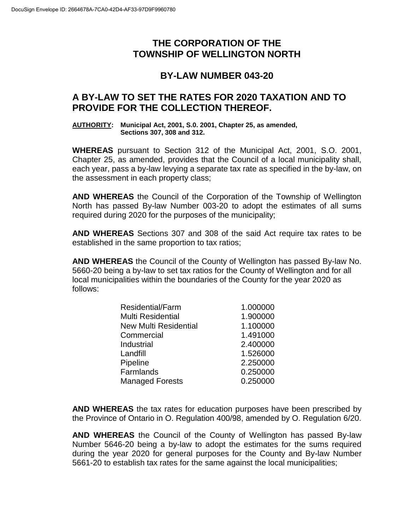# **THE CORPORATION OF THE TOWNSHIP OF WELLINGTON NORTH**

## **BY-LAW NUMBER 043-20**

## **A BY-LAW TO SET THE RATES FOR 2020 TAXATION AND TO PROVIDE FOR THE COLLECTION THEREOF.**

#### **AUTHORITY: Municipal Act, 2001, S.0. 2001, Chapter 25, as amended, Sections 307, 308 and 312.**

**WHEREAS** pursuant to Section 312 of the Municipal Act, 2001, S.O. 2001, Chapter 25, as amended, provides that the Council of a local municipality shall, each year, pass a by-law levying a separate tax rate as specified in the by-law, on the assessment in each property class;

**AND WHEREAS** the Council of the Corporation of the Township of Wellington North has passed By-law Number 003-20 to adopt the estimates of all sums required during 2020 for the purposes of the municipality;

**AND WHEREAS** Sections 307 and 308 of the said Act require tax rates to be established in the same proportion to tax ratios;

**AND WHEREAS** the Council of the County of Wellington has passed By-law No. 5660-20 being a by-law to set tax ratios for the County of Wellington and for all local municipalities within the boundaries of the County for the year 2020 as follows:

| 1.000000 |
|----------|
| 1.900000 |
| 1.100000 |
| 1.491000 |
| 2.400000 |
| 1.526000 |
| 2.250000 |
| 0.250000 |
| 0.250000 |
|          |

**AND WHEREAS** the tax rates for education purposes have been prescribed by the Province of Ontario in O. Regulation 400/98, amended by O. Regulation 6/20.

**AND WHEREAS** the Council of the County of Wellington has passed By-law Number 5646-20 being a by-law to adopt the estimates for the sums required during the year 2020 for general purposes for the County and By-law Number 5661-20 to establish tax rates for the same against the local municipalities;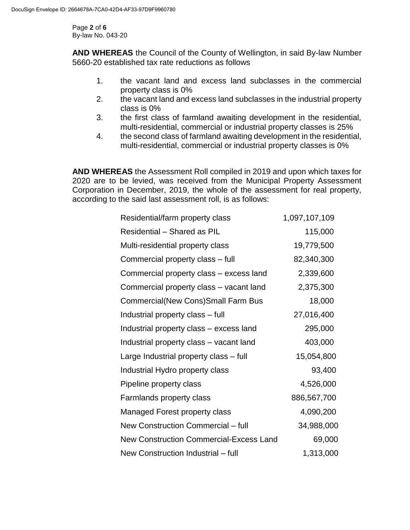Page **2** of **6** By-law No. 043-20

**AND WHEREAS** the Council of the County of Wellington, in said By-law Number 5660-20 established tax rate reductions as follows

- 1. the vacant land and excess land subclasses in the commercial property class is 0%
- 2. the vacant land and excess land subclasses in the industrial property class is 0%
- 3. the first class of farmland awaiting development in the residential, multi-residential, commercial or industrial property classes is 25%
- 4. the second class of farmland awaiting development in the residential, multi-residential, commercial or industrial property classes is 0%

**AND WHEREAS** the Assessment Roll compiled in 2019 and upon which taxes for 2020 are to be levied, was received from the Municipal Property Assessment Corporation in December, 2019, the whole of the assessment for real property, according to the said last assessment roll, is as follows:

| Residential/farm property class                | 1,097,107,109 |
|------------------------------------------------|---------------|
| Residential - Shared as PIL                    | 115,000       |
| Multi-residential property class               | 19,779,500    |
| Commercial property class - full               | 82,340,300    |
| Commercial property class – excess land        | 2,339,600     |
| Commercial property class – vacant land        | 2,375,300     |
| <b>Commercial(New Cons)Small Farm Bus</b>      | 18,000        |
| Industrial property class - full               | 27,016,400    |
| Industrial property class – excess land        | 295,000       |
| Industrial property class - vacant land        | 403,000       |
| Large Industrial property class - full         | 15,054,800    |
| Industrial Hydro property class                | 93,400        |
| Pipeline property class                        | 4,526,000     |
| Farmlands property class                       | 886,567,700   |
| Managed Forest property class                  | 4,090,200     |
| New Construction Commercial - full             | 34,988,000    |
| <b>New Construction Commercial-Excess Land</b> | 69,000        |
| New Construction Industrial - full             | 1,313,000     |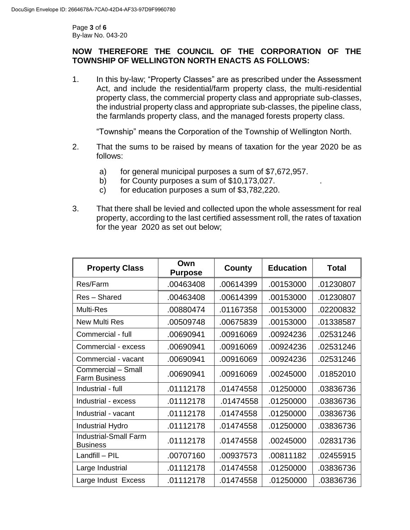Page **3** of **6** By-law No. 043-20

### **NOW THEREFORE THE COUNCIL OF THE CORPORATION OF THE TOWNSHIP OF WELLINGTON NORTH ENACTS AS FOLLOWS:**

1. In this by-law; "Property Classes" are as prescribed under the Assessment Act, and include the residential/farm property class, the multi-residential property class, the commercial property class and appropriate sub-classes, the industrial property class and appropriate sub-classes, the pipeline class, the farmlands property class, and the managed forests property class.

"Township" means the Corporation of the Township of Wellington North.

- 2. That the sums to be raised by means of taxation for the year 2020 be as follows:
	- a) for general municipal purposes a sum of \$7,672,957.
	- b) for County purposes a sum of  $$10,173,027$ .
	- c) for education purposes a sum of \$3,782,220.
- 3. That there shall be levied and collected upon the whole assessment for real property, according to the last certified assessment roll, the rates of taxation for the year 2020 as set out below;

| <b>Property Class</b>                           | Own<br><b>Purpose</b> | County    | <b>Education</b> | Total     |
|-------------------------------------------------|-----------------------|-----------|------------------|-----------|
| Res/Farm                                        | .00463408             | .00614399 | .00153000        | .01230807 |
| Res - Shared                                    | .00463408             | .00614399 | .00153000        | .01230807 |
| <b>Multi-Res</b>                                | .00880474             | .01167358 | .00153000        | .02200832 |
| New Multi Res                                   | .00509748             | .00675839 | .00153000        | .01338587 |
| Commercial - full                               | .00690941             | .00916069 | .00924236        | .02531246 |
| Commercial - excess                             | .00690941             | .00916069 | .00924236        | .02531246 |
| Commercial - vacant                             | .00690941             | .00916069 | .00924236        | .02531246 |
| Commercial - Small<br><b>Farm Business</b>      | .00690941             | .00916069 | .00245000        | .01852010 |
| Industrial - full                               | .01112178             | .01474558 | .01250000        | .03836736 |
| Industrial - excess                             | .01112178             | .01474558 | .01250000        | .03836736 |
| Industrial - vacant                             | .01112178             | .01474558 | .01250000        | .03836736 |
| <b>Industrial Hydro</b>                         | .01112178             | .01474558 | .01250000        | .03836736 |
| <b>Industrial-Small Farm</b><br><b>Business</b> | .01112178             | .01474558 | .00245000        | .02831736 |
| Landfill - PIL                                  | .00707160             | .00937573 | .00811182        | .02455915 |
| Large Industrial                                | .01112178             | .01474558 | .01250000        | .03836736 |
| Large Indust Excess                             | .01112178             | .01474558 | .01250000        | .03836736 |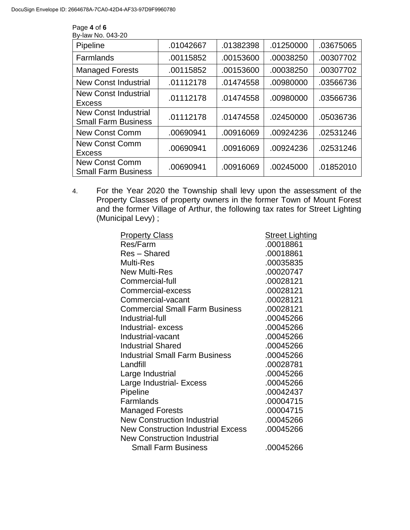| By-law No. 043-20                                         |           |           |           |           |
|-----------------------------------------------------------|-----------|-----------|-----------|-----------|
| Pipeline                                                  | .01042667 | .01382398 | .01250000 | .03675065 |
| Farmlands                                                 | .00115852 | .00153600 | .00038250 | .00307702 |
| <b>Managed Forests</b>                                    | .00115852 | .00153600 | .00038250 | .00307702 |
| <b>New Const Industrial</b>                               | .01112178 | .01474558 | .00980000 | .03566736 |
| <b>New Const Industrial</b><br>Excess                     | .01112178 | .01474558 | .00980000 | .03566736 |
| <b>New Const Industrial</b><br><b>Small Farm Business</b> | .01112178 | .01474558 | .02450000 | .05036736 |
| <b>New Const Comm</b>                                     | .00690941 | .00916069 | .00924236 | .02531246 |
| <b>New Const Comm</b><br>Excess                           | .00690941 | .00916069 | .00924236 | .02531246 |
| <b>New Const Comm</b><br><b>Small Farm Business</b>       | .00690941 | .00916069 | .00245000 | .01852010 |

Page **4** of **6**

4. For the Year 2020 the Township shall levy upon the assessment of the Property Classes of property owners in the former Town of Mount Forest and the former Village of Arthur, the following tax rates for Street Lighting (Municipal Levy) ;

| <b>Property Class</b>                     | <b>Street Lighting</b> |
|-------------------------------------------|------------------------|
| Res/Farm                                  | .00018861              |
| Res - Shared                              | .00018861              |
| <b>Multi-Res</b>                          | .00035835              |
| <b>New Multi-Res</b>                      | .00020747              |
| Commercial-full                           | .00028121              |
| Commercial-excess                         | .00028121              |
| Commercial-vacant                         | .00028121              |
| <b>Commercial Small Farm Business</b>     | .00028121              |
| Industrial-full                           | .00045266              |
| Industrial-excess                         | .00045266              |
| Industrial-vacant                         | .00045266              |
| <b>Industrial Shared</b>                  | .00045266              |
| <b>Industrial Small Farm Business</b>     | .00045266              |
| Landfill                                  | .00028781              |
| Large Industrial                          | .00045266              |
| Large Industrial- Excess                  | .00045266              |
| Pipeline                                  | .00042437              |
| Farmlands                                 | .00004715              |
| <b>Managed Forests</b>                    | .00004715              |
| <b>New Construction Industrial</b>        | .00045266              |
| <b>New Construction Industrial Excess</b> | .00045266              |
| <b>New Construction Industrial</b>        |                        |
| <b>Small Farm Business</b>                | .00045266              |
|                                           |                        |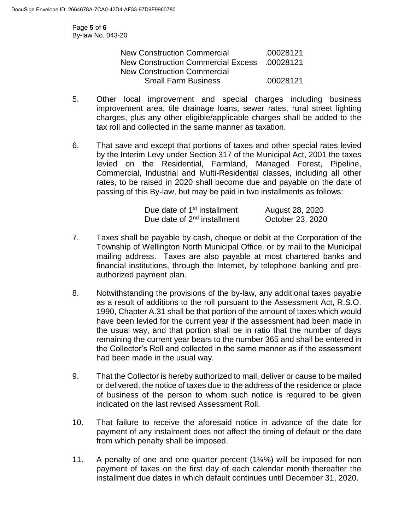Page **5** of **6** By-law No. 043-20

| <b>New Construction Commercial</b> | .00028121 |
|------------------------------------|-----------|
| New Construction Commercial Excess | .00028121 |
| <b>New Construction Commercial</b> |           |
| <b>Small Farm Business</b>         | .00028121 |

- 5. Other local improvement and special charges including business improvement area, tile drainage loans, sewer rates, rural street lighting charges, plus any other eligible/applicable charges shall be added to the tax roll and collected in the same manner as taxation.
- 6. That save and except that portions of taxes and other special rates levied by the Interim Levy under Section 317 of the Municipal Act, 2001 the taxes levied on the Residential, Farmland, Managed Forest, Pipeline, Commercial, Industrial and Multi-Residential classes, including all other rates, to be raised in 2020 shall become due and payable on the date of passing of this By-law, but may be paid in two installments as follows:

| Due date of 1 <sup>st</sup> installment | August 28, 2020  |
|-----------------------------------------|------------------|
| Due date of 2 <sup>nd</sup> installment | October 23, 2020 |

- 7. Taxes shall be payable by cash, cheque or debit at the Corporation of the Township of Wellington North Municipal Office, or by mail to the Municipal mailing address. Taxes are also payable at most chartered banks and financial institutions, through the Internet, by telephone banking and preauthorized payment plan.
- 8. Notwithstanding the provisions of the by-law, any additional taxes payable as a result of additions to the roll pursuant to the Assessment Act, R.S.O. 1990, Chapter A.31 shall be that portion of the amount of taxes which would have been levied for the current year if the assessment had been made in the usual way, and that portion shall be in ratio that the number of days remaining the current year bears to the number 365 and shall be entered in the Collector's Roll and collected in the same manner as if the assessment had been made in the usual way.
- 9. That the Collector is hereby authorized to mail, deliver or cause to be mailed or delivered, the notice of taxes due to the address of the residence or place of business of the person to whom such notice is required to be given indicated on the last revised Assessment Roll.
- 10. That failure to receive the aforesaid notice in advance of the date for payment of any instalment does not affect the timing of default or the date from which penalty shall be imposed.
- 11. A penalty of one and one quarter percent (1¼%) will be imposed for non payment of taxes on the first day of each calendar month thereafter the installment due dates in which default continues until December 31, 2020.